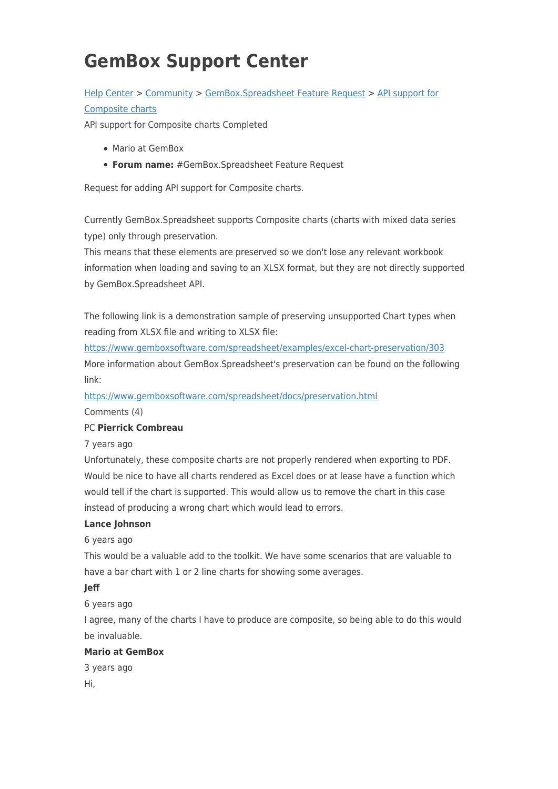# **GemBox Support Center**

# [Help Center](https://support.gemboxsoftware.com/) > [Community](https://support.gemboxsoftware.com/community) > [GemBox.Spreadsheet Feature Request](https://support.gemboxsoftware.com/community/browse/type-1/view-list/viewmode-compact) > [API support for](https://support.gemboxsoftware.com/community/view/api-support-for-composite-charts) [Composite charts](https://support.gemboxsoftware.com/community/view/api-support-for-composite-charts)

API support for Composite charts Completed

- Mario at GemBox
- **Forum name:** #GemBox.Spreadsheet Feature Request

Request for adding API support for Composite charts.

Currently GemBox.Spreadsheet supports Composite charts (charts with mixed data series type) only through preservation.

This means that these elements are preserved so we don't lose any relevant workbook information when loading and saving to an XLSX format, but they are not directly supported by GemBox.Spreadsheet API.

The following link is a demonstration sample of preserving unsupported Chart types when reading from XLSX file and writing to XLSX file:

<https://www.gemboxsoftware.com/spreadsheet/examples/excel-chart-preservation/303> More information about GemBox.Spreadsheet's preservation can be found on the following link:

<https://www.gemboxsoftware.com/spreadsheet/docs/preservation.html>

Comments (4)

### PC **Pierrick Combreau**

7 years ago

Unfortunately, these composite charts are not properly rendered when exporting to PDF. Would be nice to have all charts rendered as Excel does or at lease have a function which would tell if the chart is supported. This would allow us to remove the chart in this case instead of producing a wrong chart which would lead to errors.

#### **Lance Johnson**

#### 6 years ago

This would be a valuable add to the toolkit. We have some scenarios that are valuable to have a bar chart with 1 or 2 line charts for showing some averages.

#### **Jeff**

6 years ago

I agree, many of the charts I have to produce are composite, so being able to do this would be invaluable.

## **Mario at GemBox**

3 years ago Hi,